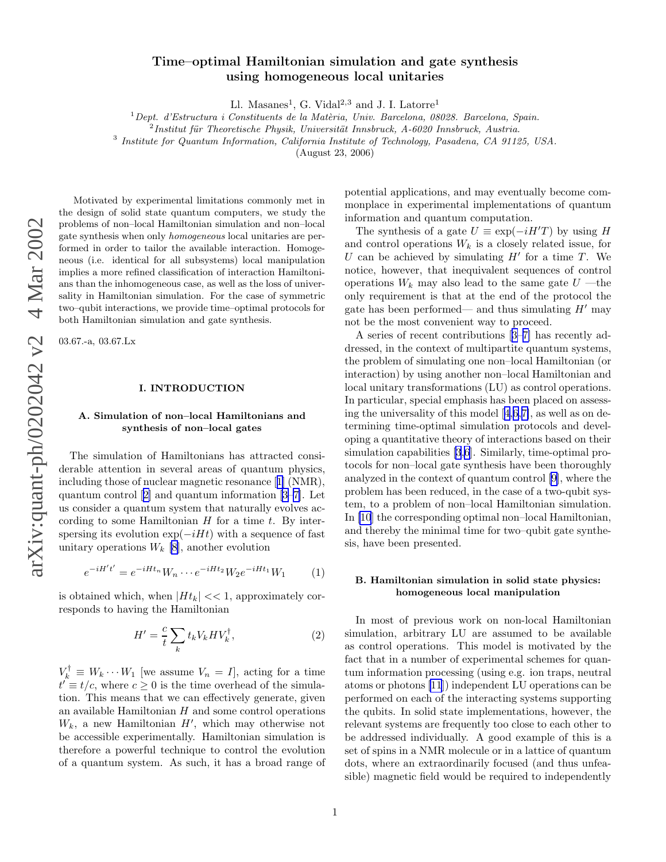# <span id="page-0-0"></span>Time–optimal Hamiltonian simulation and gate synthesis using homogeneous local unitaries

Ll. Masanes<sup>1</sup>, G. Vidal<sup>2,3</sup> and J. I. Latorre<sup>1</sup>

 $1$ Dept. d'Estructura i Constituents de la Matèria, Univ. Barcelona, 08028. Barcelona, Spain.

<sup>3</sup> Institute for Quantum Information, California Institute of Technology, Pasadena, CA 91125, USA.

(August 23, 2006)

Motivated by experimental limitations commonly met in the design of solid state quantum computers, we study the problems of non–local Hamiltonian simulation and non–loca l gate synthesis when only homogeneous local unitaries are performed in order to tailor the available interaction. Homogeneous (i.e. identical for all subsystems) local manipulation implies a more refined classification of interaction Hamiltonians than the inhomogeneous case, as well as the loss of universality in Hamiltonian simulation. For the case of symmetric two–qubit interactions, we provide time–optimal protocols for both Hamiltonian simulation and gate synthesis.

03.67.-a, 03.67.Lx

## I. INTRODUCTION

### A. Simulation of non–local Hamiltonians and synthesis of non–local gates

The simulation of Hamiltonians has attracted considerable attention in several areas of quantum physics, including those of nuclear magnetic resonance[[1\]](#page-6-0) (NMR), quantum control[[2\]](#page-6-0) and quantum information[[3–7\]](#page-6-0). Let us consider a quantum system that naturally evolves according to some Hamiltonian  $H$  for a time  $t$ . By interspersing its evolution  $\exp(-iHt)$  with a sequence of fast unitary operations  $W_k$  [\[8](#page-6-0)], another evolution

$$
e^{-iH't'} = e^{-iHt_n}W_n \cdots e^{-iHt_2}W_2 e^{-iHt_1}W_1 \tag{1}
$$

is obtained which, when  $|H_t| \ll 1$ , approximately corresponds to having the Hamiltonian

$$
H' = \frac{c}{t} \sum_{k} t_k V_k H V_k^{\dagger}, \qquad (2)
$$

 $V_k^{\dagger} \equiv W_k \cdots W_1$  [we assume  $V_n = I$ ], acting for a time  $t' \equiv t/c$ , where  $c \ge 0$  is the time overhead of the simulation. This means that we can effectively generate, given an available Hamiltonian H and some control operations  $W_k$ , a new Hamiltonian  $H'$ , which may otherwise not be accessible experimentally. Hamiltonian simulation is therefore a powerful technique to control the evolution of a quantum system. As such, it has a broad range of potential applications, and may eventually become commonplace in experimental implementations of quantum information and quantum computation.

The synthesis of a gate  $U \equiv \exp(-iH'T)$  by using H and control operations  $W_k$  is a closely related issue, for U can be achieved by simulating  $H'$  for a time T. We notice, however, that inequivalent sequences of control operations  $W_k$  may also lead to the same gate  $U$  —the only requirement is that at the end of the protocol the gate has been performed— and thus simulating  $H'$  may not be the most convenient way to proceed.

A series of recent contributions[[3–7\]](#page-6-0) has recently addressed, in the context of multipartite quantum systems, the problem of simulating one non–local Hamiltonian (or interaction) by using another non–local Hamiltonian and local unitary transformations (LU) as control operations. In particular, special emphasis has been placed on assessing the universality of this model[[4,6,7\]](#page-6-0), as well as on determining time-optimal simulation protocols and developing a quantitative theory of interactions based on their simulation capabilities [\[3,6](#page-6-0)]. Similarly, time-optimal protocols for non–local gate synthesis have been thoroughly analyzed in the context of quantum control [\[9](#page-6-0)], where the problem has been reduced, in the case of a two-qubit system, to a problem of non–local Hamiltonian simulation. In [\[10](#page-6-0)] the corresponding optimal non–local Hamiltonian, and thereby the minimal time for two–qubit gate synthesis, have been presented.

# B. Hamiltonian simulation in solid state physics: homogeneous local manipulation

In most of previous work on non-local Hamiltonian simulation, arbitrary LU are assumed to be available as control operations. This model is motivated by the fact that in a number of experimental schemes for quantum information processing (using e.g. ion traps, neutral atoms or photons [\[11](#page-6-0)]) independent LU operations can be performed on each of the interacting systems supporting the qubits. In solid state implementations, however, the relevant systems are frequently too close to each other to be addressed individually. A good example of this is a set of spins in a NMR molecule or in a lattice of quantum dots, where an extraordinarily focused (and thus unfeasible) magnetic field would be required to independently

 $^{2}$ Institut für Theoretische Physik, Universität Innsbruck, A-6020 Innsbruck, Austria.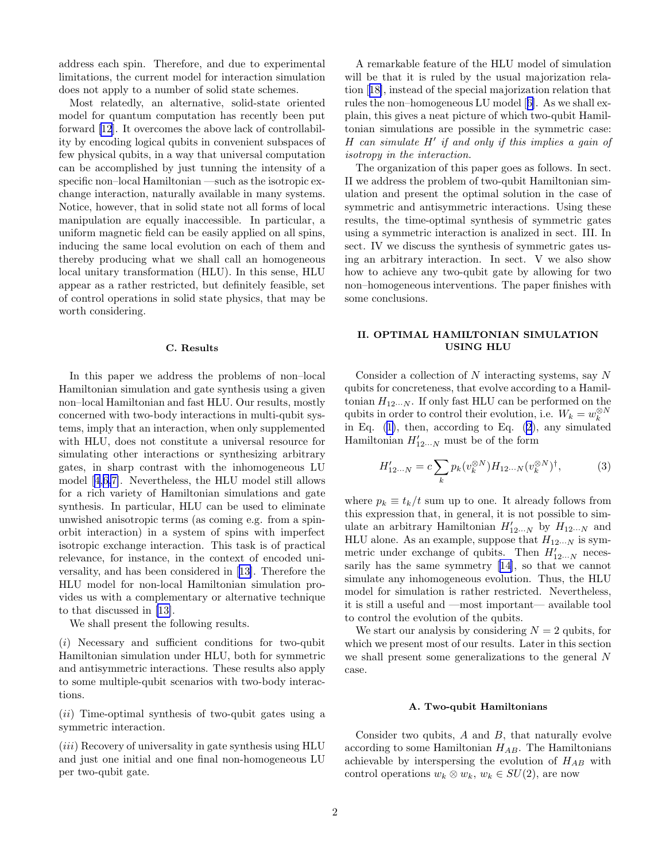address each spin. Therefore, and due to experimental limitations, the current model for interaction simulation does not apply to a number of solid state schemes.

Most relatedly, an alternative, solid-state oriented model for quantum computation has recently been put forward [\[12](#page-6-0)]. It overcomes the above lack of controllability by encoding logical qubits in convenient subspaces of few physical qubits, in a way that universal computation can be accomplished by just tunning the intensity of a specific non–local Hamiltonian —such as the isotropic exchange interaction, naturally available in many systems. Notice, however, that in solid state not all forms of local manipulation are equally inaccessible. In particular, a uniform magnetic field can be easily applied on all spins, inducing the same local evolution on each of them and thereby producing what we shall call an homogeneous local unitary transformation (HLU). In this sense, HLU appear as a rather restricted, but definitely feasible, set of control operations in solid state physics, that may be worth considering.

## C. Results

In this paper we address the problems of non–local Hamiltonian simulation and gate synthesis using a given non–local Hamiltonian and fast HLU. Our results, mostly concerned with two-body interactions in multi-qubit systems, imply that an interaction, when only supplemented with HLU, does not constitute a universal resource for simulating other interactions or synthesizing arbitrary gates, in sharp contrast with the inhomogeneous LU model[[4,6,7\]](#page-6-0). Nevertheless, the HLU model still allows for a rich variety of Hamiltonian simulations and gate synthesis. In particular, HLU can be used to eliminate unwished anisotropic terms (as coming e.g. from a spinorbit interaction) in a system of spins with imperfect isotropic exchange interaction. This task is of practical relevance, for instance, in the context of encoded universality, and has been considered in[[13](#page-6-0)]. Therefore the HLU model for non-local Hamiltonian simulation provides us with a complementary or alternative technique to that discussed in [\[13\]](#page-6-0).

We shall present the following results.

(i) Necessary and sufficient conditions for two-qubit Hamiltonian simulation under HLU, both for symmetric and antisymmetric interactions. These results also apply to some multiple-qubit scenarios with two-body interactions.

 $(ii)$  Time-optimal synthesis of two-qubit gates using a symmetric interaction.

 $(iii)$  Recovery of universality in gate synthesis using HLU and just one initial and one final non-homogeneous LU per two-qubit gate.

A remarkable feature of the HLU model of simulation will be that it is ruled by the usual majorization relation[[18\]](#page-6-0), instead of the special majorization relation that rules the non–homogeneous LU model[[6\]](#page-6-0). As we shall explain, this gives a neat picture of which two-qubit Hamiltonian simulations are possible in the symmetric case: H can simulate H′ if and only if this implies a gain of isotropy in the interaction.

The organization of this paper goes as follows. In sect. II we address the problem of two-qubit Hamiltonian simulation and present the optimal solution in the case of symmetric and antisymmetric interactions. Using these results, the time-optimal synthesis of symmetric gates using a symmetric interaction is analized in sect. III. In sect. IV we discuss the synthesis of symmetric gates using an arbitrary interaction. In sect. V we also show how to achieve any two-qubit gate by allowing for two non–homogeneous interventions. The paper finishes with some conclusions.

### II. OPTIMAL HAMILTONIAN SIMULATION USING HLU

Consider a collection of  $N$  interacting systems, say  $N$ qubits for concreteness, that evolve according to a Hamiltonian  $H_{12\cdots N}$ . If only fast HLU can be performed on the qubits in order to control their evolution, i.e.  $W_k = w_k^{\otimes N}$ in Eq.  $(1)$  $(1)$ , then, according to Eq.  $(2)$  $(2)$ , any simulated Hamiltonian  $H'_{12\cdots N}$  must be of the form

$$
H'_{12\cdots N} = c \sum_{k} p_k(v_k^{\otimes N}) H_{12\cdots N}(v_k^{\otimes N})^{\dagger},\tag{3}
$$

where  $p_k \equiv t_k/t$  sum up to one. It already follows from this expression that, in general, it is not possible to simulate an arbitrary Hamiltonian  $H'_{12\cdots N}$  by  $H_{12\cdots N}$  and HLU alone. As an example, suppose that  $H_{12\cdots N}$  is symmetric under exchange of qubits. Then  $H'_{12...N}$  necessarily has the same symmetry[[14\]](#page-6-0), so that we cannot simulate any inhomogeneous evolution. Thus, the HLU model for simulation is rather restricted. Nevertheless, it is still a useful and —most important— available tool to control the evolution of the qubits.

We start our analysis by considering  $N = 2$  qubits, for which we present most of our results. Later in this section we shall present some generalizations to the general N case.

## A. Two-qubit Hamiltonians

Consider two qubits,  $A$  and  $B$ , that naturally evolve according to some Hamiltonian  $H_{AB}$ . The Hamiltonians achievable by interspersing the evolution of  $H_{AB}$  with control operations  $w_k \otimes w_k$ ,  $w_k \in SU(2)$ , are now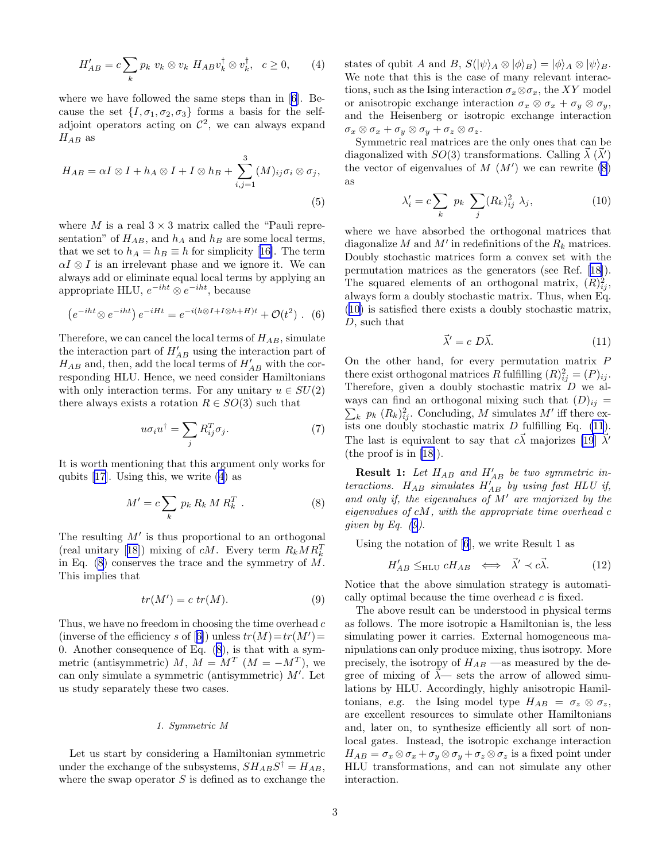<span id="page-2-0"></span>
$$
H'_{AB} = c \sum_{k} p_k \ v_k \otimes v_k \ H_{AB} v_k^{\dagger} \otimes v_k^{\dagger}, \ c \ge 0, \qquad (4)
$$

where we have followed the same steps than in[[6\]](#page-6-0). Because the set  $\{I, \sigma_1, \sigma_2, \sigma_3\}$  forms a basis for the selfadjoint operators acting on  $\mathcal{C}^2$ , we can always expand  $H_{AB}$  as

$$
H_{AB} = \alpha I \otimes I + h_A \otimes I + I \otimes h_B + \sum_{i,j=1}^{3} (M)_{ij} \sigma_i \otimes \sigma_j,
$$
\n(5)

where M is a real  $3 \times 3$  matrix called the "Pauli representation" of  $H_{AB}$ , and  $h_A$  and  $h_B$  are some local terms, thatwe set to  $h_A = h_B \equiv h$  for simplicity [[16\]](#page-6-0). The term  $\alpha I \otimes I$  is an irrelevant phase and we ignore it. We can always add or eliminate equal local terms by applying an appropriate HLU,  $e^{-iht} \otimes e^{-iht}$ , because

$$
\left(e^{-iht}\otimes e^{-iht}\right)e^{-iHt}=e^{-i(h\otimes I+I\otimes h+H)t}+\mathcal{O}(t^2)\ .\ (6)
$$

Therefore, we can cancel the local terms of  $H_{AB}$ , simulate the interaction part of  $H'_{AB}$  using the interaction part of  $H_{AB}$  and, then, add the local terms of  $H'_{AB}$  with the corresponding HLU. Hence, we need consider Hamiltonians with only interaction terms. For any unitary  $u \in SU(2)$ there always exists a rotation  $R \in SO(3)$  such that

$$
u\sigma_i u^\dagger = \sum_j R_{ij}^T \sigma_j. \tag{7}
$$

It is worth mentioning that this argument only works for qubits [\[17](#page-6-0)]. Using this, we write (4) as

$$
M' = c \sum_{k} p_k R_k M R_k^T . \qquad (8)
$$

The resulting  $M'$  is thus proportional to an orthogonal (realunitary [[18\]](#page-6-0)) mixing of  $cM$ . Every term  $R_k M R_k^T$ in Eq.  $(8)$  conserves the trace and the symmetry of M. This implies that

$$
tr(M') = c \ tr(M). \tag{9}
$$

Thus, we have no freedom in choosing the time overhead  $c$ (inverseof the efficiency s of [[6\]](#page-6-0)) unless  $tr(M) = tr(M') =$ 0. Another consequence of Eq. (8), is that with a symmetric (antisymmetric)  $M, M = M^T (M = -M^T)$ , we can only simulate a symmetric (antisymmetric) M′ . Let us study separately these two cases.

#### 1. Symmetric M

Let us start by considering a Hamiltonian symmetric under the exchange of the subsystems,  $SH_{AB}S^{\dagger} = H_{AB}$ , where the swap operator  $S$  is defined as to exchange the

states of qubit A and B,  $S(\psi)_A \otimes \psi_B = (\phi)_A \otimes \psi_B$ . We note that this is the case of many relevant interactions, such as the Ising interaction  $\sigma_x \otimes \sigma_x$ , the XY model or anisotropic exchange interaction  $\sigma_x \otimes \sigma_x + \sigma_y \otimes \sigma_y$ , and the Heisenberg or isotropic exchange interaction  $\sigma_x \otimes \sigma_x + \sigma_y \otimes \sigma_y + \sigma_z \otimes \sigma_z.$ 

Symmetric real matrices are the only ones that can be diagonalized with  $SO(3)$  transformations. Calling  $\vec{\lambda}$  ( $\vec{\lambda}'$ ) the vector of eigenvalues of  $M(M')$  we can rewrite  $(8)$ as

$$
\lambda_i' = c \sum_k p_k \sum_j (R_k)_{ij}^2 \lambda_j, \qquad (10)
$$

where we have absorbed the orthogonal matrices that diagonalize  $M$  and  $M'$  in redefinitions of the  $R_k$  matrices. Doubly stochastic matrices form a convex set with the permutation matrices as the generators (see Ref.[[18\]](#page-6-0)). The squared elements of an orthogonal matrix,  $(R)_{ij}^2$ , always form a doubly stochastic matrix. Thus, when Eq. (10) is satisfied there exists a doubly stochastic matrix, D, such that

$$
\vec{\lambda}' = c \ D\vec{\lambda}.\tag{11}
$$

On the other hand, for every permutation matrix P there exist orthogonal matrices R fulfilling  $(R)_{ij}^2 = (P)_{ij}$ . Therefore, given a doubly stochastic matrix D we always can find an orthogonal mixing such that  $(D)_{ij} =$  $\sum_{k} p_k (R_k)_{ij}^2$ . Concluding, M simulates M' iff there exists one doubly stochastic matrix  $D$  fulfilling Eq. (11). The last is equivalent to say that  $c\vec{\lambda}$  majorizes [\[19](#page-6-0)]  $\vec{\lambda}'$ (the proof is in [\[18\]](#page-6-0)).

**Result 1:** Let  $H_{AB}$  and  $H'_{AB}$  be two symmetric interactions.  $H_{AB}$  simulates  $H'_{AB}$  by using fast HLU if, and only if, the eigenvalues of  $\overline{M}'$  are majorized by the eigenvalues of cM, with the appropriate time overhead c given by Eq.  $(9)$ .

Using the notation of [\[6](#page-6-0)], we write Result 1 as

$$
H'_{AB} \leq_{\text{HLU}} cH_{AB} \iff \vec{\lambda}' \prec c\vec{\lambda}.
$$
 (12)

Notice that the above simulation strategy is automatically optimal because the time overhead c is fixed.

The above result can be understood in physical terms as follows. The more isotropic a Hamiltonian is, the less simulating power it carries. External homogeneous manipulations can only produce mixing, thus isotropy. More precisely, the isotropy of  $H_{AB}$  —as measured by the degree of mixing of  $\vec{\lambda}$ — sets the arrow of allowed simulations by HLU. Accordingly, highly anisotropic Hamiltonians, e.g. the Ising model type  $H_{AB} = \sigma_z \otimes \sigma_z$ , are excellent resources to simulate other Hamiltonians and, later on, to synthesize efficiently all sort of nonlocal gates. Instead, the isotropic exchange interaction  $H_{AB} = \sigma_x \otimes \sigma_x + \sigma_y \otimes \sigma_y + \sigma_z \otimes \sigma_z$  is a fixed point under HLU transformations, and can not simulate any other interaction.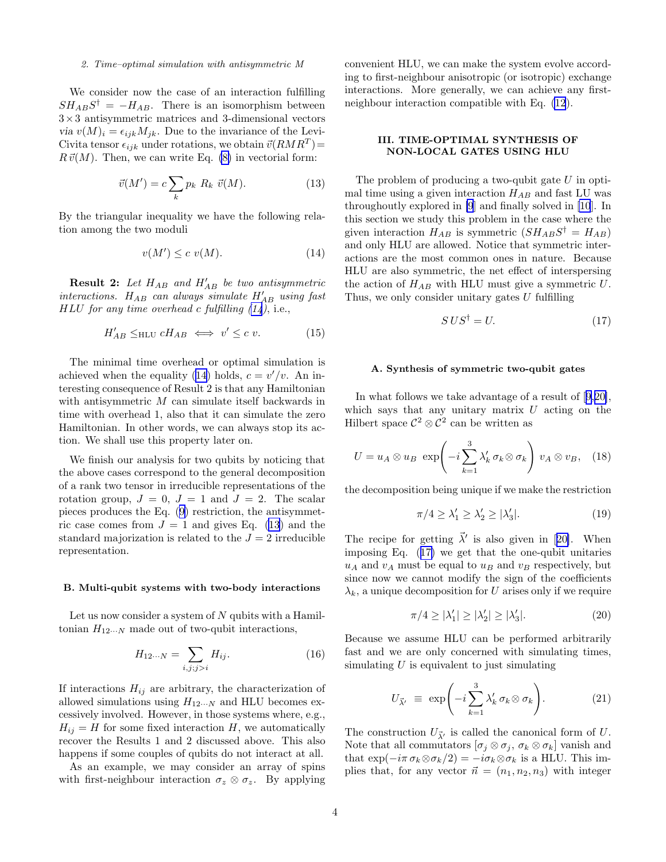#### <span id="page-3-0"></span>2. Time–optimal simulation with antisymmetric M

We consider now the case of an interaction fulfilling  $SH_{AB}S^{\dagger} = -H_{AB}$ . There is an isomorphism between  $3\times3$  antisymmetric matrices and 3-dimensional vectors via  $v(M)_i = \epsilon_{ijk} M_{ik}$ . Due to the invariance of the Levi-Civita tensor  $\epsilon_{ijk}$  under rotations, we obtain  $\vec{v}(RMR^T)$  =  $R\,\vec{v}(M)$ . Then, we can write Eq. [\(8\)](#page-2-0) in vectorial form:

$$
\vec{v}(M') = c \sum_{k} p_k R_k \ \vec{v}(M). \tag{13}
$$

By the triangular inequality we have the following relation among the two moduli

$$
v(M') \le c \ v(M). \tag{14}
$$

**Result 2:** Let  $H_{AB}$  and  $H'_{AB}$  be two antisymmetric interactions.  $H_{AB}$  can always simulate  $H'_{AB}$  using fast  $HLU$  for any time overhead c fulfilling  $(14)$ , i.e.,

$$
H'_{AB} \leq_{\text{HLU}} cH_{AB} \iff v' \leq c v. \tag{15}
$$

The minimal time overhead or optimal simulation is achieved when the equality (14) holds,  $c = v'/v$ . An interesting consequence of Result 2 is that any Hamiltonian with antisymmetric M can simulate itself backwards in time with overhead 1, also that it can simulate the zero Hamiltonian. In other words, we can always stop its action. We shall use this property later on.

We finish our analysis for two qubits by noticing that the above cases correspond to the general decomposition of a rank two tensor in irreducible representations of the rotation group,  $J = 0$ ,  $J = 1$  and  $J = 2$ . The scalar pieces produces the Eq. ([9\)](#page-2-0) restriction, the antisymmetric case comes from  $J = 1$  and gives Eq. (13) and the standard majorization is related to the  $J = 2$  irreducible representation.

#### B. Multi-qubit systems with two-body interactions

Let us now consider a system of  $N$  qubits with a Hamiltonian  $H_{12\cdots N}$  made out of two-qubit interactions,

$$
H_{12\cdots N} = \sum_{i,j;j>i} H_{ij}.\tag{16}
$$

If interactions  $H_{ij}$  are arbitrary, the characterization of allowed simulations using  $H_{12\cdots N}$  and HLU becomes excessively involved. However, in those systems where, e.g.,  $H_{ij} = H$  for some fixed interaction H, we automatically recover the Results 1 and 2 discussed above. This also happens if some couples of qubits do not interact at all.

As an example, we may consider an array of spins with first-neighbour interaction  $\sigma_z \otimes \sigma_z$ . By applying convenient HLU, we can make the system evolve according to first-neighbour anisotropic (or isotropic) exchange interactions. More generally, we can achieve any firstneighbour interaction compatible with Eq. [\(12](#page-2-0)).

# III. TIME-OPTIMAL SYNTHESIS OF NON-LOCAL GATES USING HLU

The problem of producing a two-qubit gate  $U$  in optimal time using a given interaction  $H_{AB}$  and fast LU was throughoutly explored in [\[9](#page-6-0)] and finally solved in [\[10](#page-6-0)]. In this section we study this problem in the case where the given interaction  $H_{AB}$  is symmetric  $(SH_{AB}S^{\dagger} = H_{AB})$ and only HLU are allowed. Notice that symmetric interactions are the most common ones in nature. Because HLU are also symmetric, the net effect of interspersing the action of  $H_{AB}$  with HLU must give a symmetric U. Thus, we only consider unitary gates  $U$  fulfilling

$$
S\,US^{\dagger} = U.\tag{17}
$$

# A. Synthesis of symmetric two-qubit gates

In what follows we take advantage of a result of[[9,20\]](#page-6-0), which says that any unitary matrix  $U$  acting on the Hilbert space  $\mathcal{C}^2 \otimes \mathcal{C}^2$  can be written as

$$
U = u_A \otimes u_B \exp\left(-i\sum_{k=1}^3 \lambda'_k \,\sigma_k \otimes \sigma_k\right) v_A \otimes v_B, \quad (18)
$$

the decomposition being unique if we make the restriction

$$
\pi/4 \ge \lambda'_1 \ge \lambda'_2 \ge |\lambda'_3|.\tag{19}
$$

Therecipe for getting  $\vec{\lambda}'$  is also given in [[20\]](#page-6-0). When imposing Eq. (17) we get that the one-qubit unitaries  $u_A$  and  $v_A$  must be equal to  $u_B$  and  $v_B$  respectively, but since now we cannot modify the sign of the coefficients  $\lambda_k$ , a unique decomposition for U arises only if we require

$$
\pi/4 \ge |\lambda_1'| \ge |\lambda_2'| \ge |\lambda_3'|.\tag{20}
$$

Because we assume HLU can be performed arbitrarily fast and we are only concerned with simulating times, simulating  $U$  is equivalent to just simulating

$$
U_{\vec{\lambda}'} \equiv \exp\left(-i\sum_{k=1}^{3} \lambda'_k \,\sigma_k \otimes \sigma_k\right). \tag{21}
$$

The construction  $U_{\vec{\lambda}'}$  is called the canonical form of U. Note that all commutators  $[\sigma_j \otimes \sigma_j, \sigma_k \otimes \sigma_k]$  vanish and that  $\exp(-i\pi \sigma_k \otimes \sigma_k/2) = -i\sigma_k \otimes \sigma_k$  is a HLU. This implies that, for any vector  $\vec{n} = (n_1, n_2, n_3)$  with integer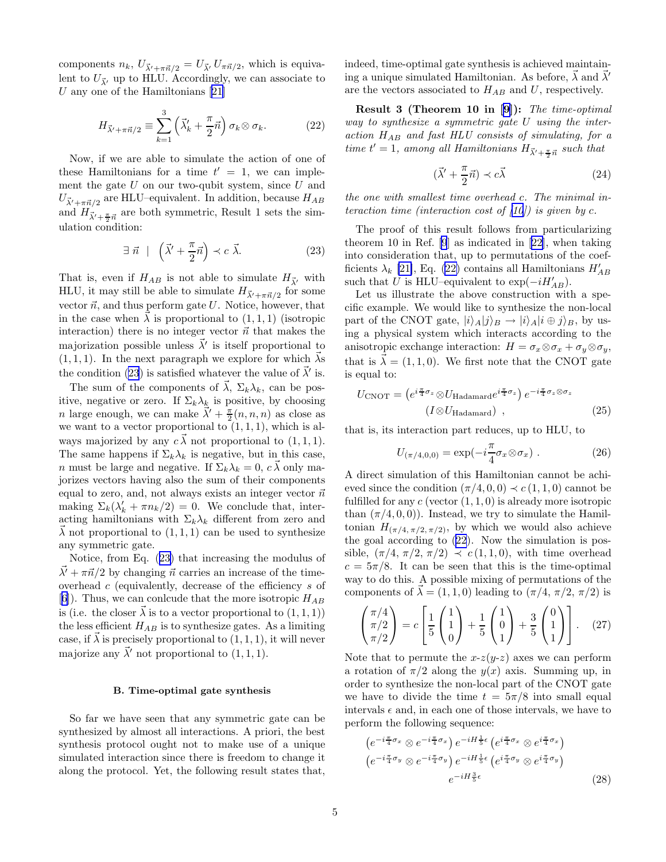<span id="page-4-0"></span>components  $n_k$ ,  $U_{\vec{\lambda'}+\pi\vec{n}/2} = U_{\vec{\lambda'}} U_{\pi\vec{n}/2}$ , which is equivalent to  $U_{\vec{\lambda}}$  up to HLU. Accordingly, we can associate to Uany one of the Hamiltonians  $[21]$  $[21]$ 

$$
H_{\vec{\lambda}'+\pi\vec{n}/2} \equiv \sum_{k=1}^{3} \left(\vec{\lambda}'_k + \frac{\pi}{2}\vec{n}\right) \sigma_k \otimes \sigma_k.
$$
 (22)

Now, if we are able to simulate the action of one of these Hamiltonians for a time  $t' = 1$ , we can implement the gate  $U$  on our two-qubit system, since  $U$  and  $U_{\vec{\lambda}'+\pi\vec{n}/2}$  are HLU–equivalent. In addition, because  $H_{AB}$ and  $H_{\vec{\lambda}'+\frac{\pi}{2}\vec{n}}$  are both symmetric, Result 1 sets the simulation condition:

$$
\exists \ \vec{n} \ \mid \ \left(\vec{\lambda}' + \frac{\pi}{2}\vec{n}\right) \prec c \ \vec{\lambda}.\tag{23}
$$

That is, even if  $H_{AB}$  is not able to simulate  $H_{\vec{\lambda}}$  with HLU, it may still be able to simulate  $H_{\vec{\lambda}'+\pi\vec{n}/2}$  for some vector  $\vec{n}$ , and thus perform gate U. Notice, however, that in the case when  $\vec{\lambda}$  is proportional to  $(1, 1, 1)$  (isotropic interaction) there is no integer vector  $\vec{n}$  that makes the majorization possible unless  $\vec{\lambda}'$  is itself proportional to  $(1, 1, 1)$ . In the next paragraph we explore for which  $\vec{\lambda}$ s the condition (23) is satisfied whatever the value of  $\vec{\lambda}'$  is.

The sum of the components of  $\vec{\lambda}$ ,  $\Sigma_k \lambda_k$ , can be positive, negative or zero. If  $\Sigma_k \lambda_k$  is positive, by choosing *n* large enough, we can make  $\vec{\lambda}' + \frac{\pi}{2}(n, n, n)$  as close as we want to a vector proportional to  $(1, 1, 1)$ , which is always majorized by any  $c \vec{\lambda}$  not proportional to  $(1, 1, 1)$ . The same happens if  $\Sigma_k \lambda_k$  is negative, but in this case, *n* must be large and negative. If  $\Sigma_k \lambda_k = 0$ ,  $c \vec{\lambda}$  only majorizes vectors having also the sum of their components equal to zero, and, not always exists an integer vector  $\vec{n}$ making  $\Sigma_k(\lambda'_k + \pi n_k/2) = 0$ . We conclude that, interacting hamiltonians with  $\Sigma_k \lambda_k$  different from zero and  $\vec{\lambda}$  not proportional to  $(1,1,1)$  can be used to synthesize any symmetric gate.

Notice, from Eq. (23) that increasing the modulus of  $\vec{\lambda'} + \pi \vec{n}/2$  by changing  $\vec{n}$  carries an increase of the timeoverhead c (equivalently, decrease of the efficiency s of [[6\]](#page-6-0)). Thus, we can conlcude that the more isotropic  $H_{AB}$ is (i.e. the closer  $\vec{\lambda}$  is to a vector proportional to  $(1,1,1)$ ) the less efficient  $H_{AB}$  is to synthesize gates. As a limiting case, if  $\vec{\lambda}$  is precisely proportional to  $(1, 1, 1)$ , it will never majorize any  $\vec{\lambda}'$  not proportional to  $(1,1,1)$ .

#### B. Time-optimal gate synthesis

So far we have seen that any symmetric gate can be synthesized by almost all interactions. A priori, the best synthesis protocol ought not to make use of a unique simulated interaction since there is freedom to change it along the protocol. Yet, the following result states that,

indeed, time-optimal gate synthesis is achieved maintaining a unique simulated Hamiltonian. As before,  $\vec{\lambda}$  and  $\vec{\lambda}'$ are the vectors associated to  $H_{AB}$  and U, respectively.

Result 3 (Theorem 10 in [\[9\]](#page-6-0)): The time-optimal way to synthesize a symmetric gate U using the interaction  $H_{AB}$  and fast HLU consists of simulating, for a time  $t' = 1$ , among all Hamiltonians  $H_{\vec{\lambda}' + \frac{\pi}{2} \vec{n}}$  such that

$$
(\vec{\lambda}' + \frac{\pi}{2}\vec{n}) \prec c\vec{\lambda}
$$
 (24)

the one with smallest time overhead c. The minimal interaction time (interaction cost of  $(10)$ ) is given by c.

The proof of this result follows from particularizing theorem 10 in Ref. [\[9](#page-6-0)] as indicated in[[22\]](#page-6-0), when taking into consideration that, up to permutations of the coefficients  $\lambda_k$  [\[21\]](#page-6-0), Eq. (22) contains all Hamiltonians  $H'_{AB}$ such that U is HLU–equivalent to  $\exp(-iH'_{AB})$ .

Let us illustrate the above construction with a specific example. We would like to synthesize the non-local part of the CNOT gate,  $|i\rangle_A|j\rangle_B \rightarrow |i\rangle_A|i \oplus j\rangle_B$ , by using a physical system which interacts according to the anisotropic exchange interaction:  $H = \sigma_x \otimes \sigma_x + \sigma_y \otimes \sigma_y$ , that is  $\lambda = (1, 1, 0)$ . We first note that the CNOT gate is equal to:

$$
U_{\text{CNOT}} = \left(e^{i\frac{\pi}{4}\sigma_z} \otimes U_{\text{Hadamard}} e^{i\frac{\pi}{4}\sigma_z}\right) e^{-i\frac{\pi}{4}\sigma_z \otimes \sigma_z}
$$
\n
$$
\left(I \otimes U_{\text{Hadamard}}\right) , \qquad (25)
$$

that is, its interaction part reduces, up to HLU, to

$$
U_{(\pi/4,0,0)} = \exp(-i\frac{\pi}{4}\sigma_x \otimes \sigma_x) . \qquad (26)
$$

A direct simulation of this Hamiltonian cannot be achieved since the condition  $(\pi/4, 0, 0) \prec c(1, 1, 0)$  cannot be fulfilled for any  $c$  (vector  $(1, 1, 0)$  is already more isotropic than  $(\pi/4, 0, 0)$ . Instead, we try to simulate the Hamiltonian  $H_{(\pi/4, \pi/2, \pi/2)}$ , by which we would also achieve the goal according to (22). Now the simulation is possible,  $(\pi/4, \pi/2, \pi/2) \prec c(1, 1, 0)$ , with time overhead  $c = 5\pi/8$ . It can be seen that this is the time-optimal way to do this. A possible mixing of permutations of the components of  $\vec{\lambda} = (1, 1, 0)$  leading to  $(\pi/4, \pi/2, \pi/2)$  is

$$
\begin{pmatrix} \pi/4 \\ \pi/2 \\ \pi/2 \end{pmatrix} = c \left[ \frac{1}{5} \begin{pmatrix} 1 \\ 1 \\ 0 \end{pmatrix} + \frac{1}{5} \begin{pmatrix} 1 \\ 0 \\ 1 \end{pmatrix} + \frac{3}{5} \begin{pmatrix} 0 \\ 1 \\ 1 \end{pmatrix} \right].
$$
 (27)

Note that to permute the  $x-z(y-z)$  axes we can perform a rotation of  $\pi/2$  along the  $y(x)$  axis. Summing up, in order to synthesize the non-local part of the CNOT gate we have to divide the time  $t = 5\pi/8$  into small equal intervals  $\epsilon$  and, in each one of those intervals, we have to perform the following sequence:

$$
(e^{-i\frac{\pi}{4}\sigma_x} \otimes e^{-i\frac{\pi}{4}\sigma_x}) e^{-iH\frac{1}{5}\epsilon} (e^{i\frac{\pi}{4}\sigma_x} \otimes e^{i\frac{\pi}{4}\sigma_x})
$$
  

$$
(e^{-i\frac{\pi}{4}\sigma_y} \otimes e^{-i\frac{\pi}{4}\sigma_y}) e^{-iH\frac{1}{5}\epsilon} (e^{i\frac{\pi}{4}\sigma_y} \otimes e^{i\frac{\pi}{4}\sigma_y})
$$
  

$$
e^{-iH\frac{3}{5}\epsilon}
$$
 (28)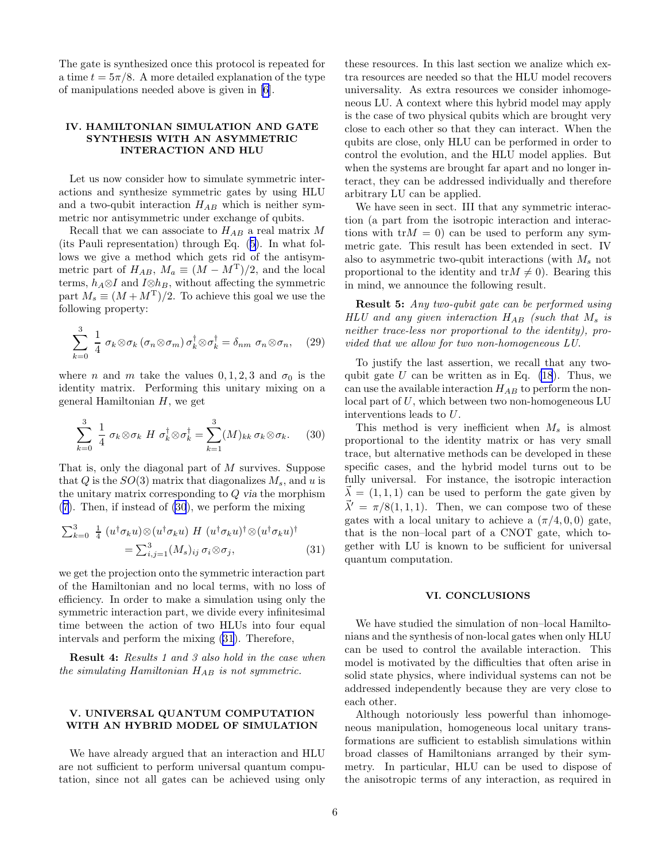The gate is synthesized once this protocol is repeated for a time  $t = 5\pi/8$ . A more detailed explanation of the type of manipulations needed above is given in [\[6](#page-6-0)].

# IV. HAMILTONIAN SIMULATION AND GATE SYNTHESIS WITH AN ASYMMETRIC INTERACTION AND HLU

Let us now consider how to simulate symmetric interactions and synthesize symmetric gates by using HLU and a two-qubit interaction  $H_{AB}$  which is neither symmetric nor antisymmetric under exchange of qubits.

Recall that we can associate to  $H_{AB}$  a real matrix M (its Pauli representation) through Eq. ([5\)](#page-2-0). In what follows we give a method which gets rid of the antisymmetric part of  $H_{AB}$ ,  $M_a \equiv (M - M^T)/2$ , and the local terms,  $h_A \otimes I$  and  $I \otimes h_B$ , without affecting the symmetric part  $M_s \equiv (M + M^T)/2$ . To achieve this goal we use the following property:

$$
\sum_{k=0}^{3} \frac{1}{4} \sigma_k \otimes \sigma_k (\sigma_n \otimes \sigma_m) \sigma_k^{\dagger} \otimes \sigma_k^{\dagger} = \delta_{nm} \sigma_n \otimes \sigma_n, \quad (29)
$$

where *n* and *m* take the values 0, 1, 2, 3 and  $\sigma_0$  is the identity matrix. Performing this unitary mixing on a general Hamiltonian  $H$ , we get

$$
\sum_{k=0}^{3} \frac{1}{4} \sigma_k \otimes \sigma_k \ H \ \sigma_k^{\dagger} \otimes \sigma_k^{\dagger} = \sum_{k=1}^{3} (M)_{kk} \ \sigma_k \otimes \sigma_k. \tag{30}
$$

That is, only the diagonal part of M survives. Suppose that Q is the  $SO(3)$  matrix that diagonalizes  $M_s$ , and u is the unitary matrix corresponding to Q via the morphism ([7\)](#page-2-0). Then, if instead of (30), we perform the mixing

$$
\sum_{k=0}^{3} \frac{1}{4} \left( u^{\dagger} \sigma_k u \right) \otimes \left( u^{\dagger} \sigma_k u \right) H \left( u^{\dagger} \sigma_k u \right)^{\dagger} \otimes \left( u^{\dagger} \sigma_k u \right)^{\dagger}
$$

$$
= \sum_{i,j=1}^{3} (M_s)_{ij} \sigma_i \otimes \sigma_j, \tag{31}
$$

we get the projection onto the symmetric interaction part of the Hamiltonian and no local terms, with no loss of efficiency. In order to make a simulation using only the symmetric interaction part, we divide every infinitesimal time between the action of two HLUs into four equal intervals and perform the mixing (31). Therefore,

Result 4: Results 1 and 3 also hold in the case when the simulating Hamiltonian  $H_{AB}$  is not symmetric.

# V. UNIVERSAL QUANTUM COMPUTATION WITH AN HYBRID MODEL OF SIMULATION

We have already argued that an interaction and HLU are not sufficient to perform universal quantum computation, since not all gates can be achieved using only

these resources. In this last section we analize which extra resources are needed so that the HLU model recovers universality. As extra resources we consider inhomogeneous LU. A context where this hybrid model may apply is the case of two physical qubits which are brought very close to each other so that they can interact. When the qubits are close, only HLU can be performed in order to control the evolution, and the HLU model applies. But when the systems are brought far apart and no longer interact, they can be addressed individually and therefore arbitrary LU can be applied.

We have seen in sect. III that any symmetric interaction (a part from the isotropic interaction and interactions with  $trM = 0$  can be used to perform any symmetric gate. This result has been extended in sect. IV also to asymmetric two-qubit interactions (with  $M_s$  not proportional to the identity and  $tr M \neq 0$ ). Bearing this in mind, we announce the following result.

Result 5: Any two-qubit gate can be performed using  $HLU$  and any given interaction  $H_{AB}$  (such that  $M_s$  is neither trace-less nor proportional to the identity), provided that we allow for two non-homogeneous LU.

To justify the last assertion, we recall that any twoqubit gate  $U$  can be written as in Eq. [\(18](#page-3-0)). Thus, we can use the available interaction  $H_{AB}$  to perform the non- $\alpha$ local part of U, which between two non-homogeneous LU interventions leads to U.

This method is very inefficient when  $M_s$  is almost proportional to the identity matrix or has very small trace, but alternative methods can be developed in these specific cases, and the hybrid model turns out to be fully universal. For instance, the isotropic interaction  $\lambda = (1, 1, 1)$  can be used to perform the gate given by  $\vec{\lambda}' = \pi/8(1,1,1)$ . Then, we can compose two of these gates with a local unitary to achieve a  $(\pi/4, 0, 0)$  gate, that is the non–local part of a CNOT gate, which together with LU is known to be sufficient for universal quantum computation.

## VI. CONCLUSIONS

We have studied the simulation of non–local Hamiltonians and the synthesis of non-local gates when only HLU can be used to control the available interaction. This model is motivated by the difficulties that often arise in solid state physics, where individual systems can not be addressed independently because they are very close to each other.

Although notoriously less powerful than inhomogeneous manipulation, homogeneous local unitary transformations are sufficient to establish simulations within broad classes of Hamiltonians arranged by their symmetry. In particular, HLU can be used to dispose of the anisotropic terms of any interaction, as required in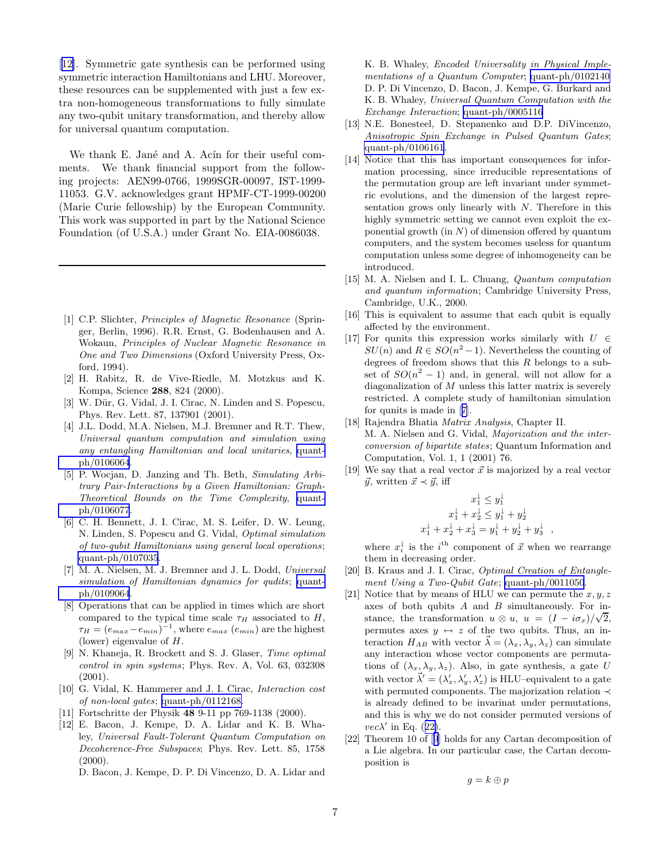<span id="page-6-0"></span>[12]. Symmetric gate synthesis can be performed using symmetric interaction Hamiltonians and LHU. Moreover, these resources can be supplemented with just a few extra non-homogeneous transformations to fully simulate any two-qubit unitary transformation, and thereby allow for universal quantum computation.

We thank E. Jané and A. Acín for their useful comments. We thank financial support from the following projects: AEN99-0766, 1999SGR-00097, IST-1999- 11053. G.V. acknowledges grant HPMF-CT-1999-00200 (Marie Curie fellowship) by the European Community. This work was supported in part by the National Science Foundation (of U.S.A.) under Grant No. EIA-0086038.

- [1] C.P. Slichter, Principles of Magnetic Resonance (Springer, Berlin, 1996). R.R. Ernst, G. Bodenhausen and A. Wokaun, Principles of Nuclear Magnetic Resonance in One and Two Dimensions (Oxford University Press, Oxford, 1994).
- [2] H. Rabitz, R. de Vive-Riedle, M. Motzkus and K. Kompa, Science 288, 824 (2000).
- [3] W. Dür, G. Vidal, J. I. Cirac, N. Linden and S. Popescu, Phys. Rev. Lett. 87, 137901 (2001).
- [4] J.L. Dodd, M.A. Nielsen, M.J. Bremner and R.T. Thew, Universal quantum computation and simulation using any entangling Hamiltonian and local unitaries, [quant](http://arxiv.org/abs/quant-ph/0106064)[ph/0106064](http://arxiv.org/abs/quant-ph/0106064).
- [5] P. Wocjan, D. Janzing and Th. Beth, Simulating Arbitrary Pair-Interactions by a Given Hamiltonian: Graph-Theoretical Bounds on the Time Complexity, [quant](http://arxiv.org/abs/quant-ph/0106077)[ph/0106077](http://arxiv.org/abs/quant-ph/0106077).
- [6] C. H. Bennett, J. I. Cirac, M. S. Leifer, D. W. Leung, N. Linden, S. Popescu and G. Vidal, Optimal simulation of two-qubit Hamiltonians using general local operations; [quant-ph/0107035](http://arxiv.org/abs/quant-ph/0107035).
- [7] M. A. Nielsen, M. J. Bremner and J. L. Dodd, Universal simulation of Hamiltonian dynamics for qudits; [quant](http://arxiv.org/abs/quant-ph/0109064)[ph/0109064](http://arxiv.org/abs/quant-ph/0109064).
- [8] Operations that can be applied in times which are short compared to the typical time scale  $\tau_H$  associated to H,  $\tau_H = (e_{max} - e_{min})^{-1}$ , where  $e_{max}$   $(e_{min})$  are the highest (lower) eigenvalue of H.
- [9] N. Khaneja, R. Brockett and S. J. Glaser, Time optimal control in spin systems; Phys. Rev. A, Vol. 63, 032308 (2001).
- [10] G. Vidal, K. Hammerer and J. I. Cirac, *Interaction cost* of non-local gates; [quant-ph/0112168.](http://arxiv.org/abs/quant-ph/0112168)
- [11] Fortschritte der Physik 48 9-11 pp 769-1138 (2000).
- [12] E. Bacon, J. Kempe, D. A. Lidar and K. B. Whaley, Universal Fault-Tolerant Quantum Computation on Decoherence-Free Subspaces; Phys. Rev. Lett. 85, 1758  $(2000).$

D. Bacon, J. Kempe, D. P. Di Vincenzo, D. A. Lidar and

K. B. Whaley, Encoded Universality in Physical Implementations of a Quantum Computer; [quant-ph/0102140](http://arxiv.org/abs/quant-ph/0102140) D. P. Di Vincenzo, D. Bacon, J. Kempe, G. Burkard and K. B. Whaley, Universal Quantum Computation with the Exchange Interaction; [quant-ph/0005116](http://arxiv.org/abs/quant-ph/0005116)

- [13] N.E. Bonesteel, D. Stepanenko and D.P. DiVincenzo, Anisotropic Spin Exchange in Pulsed Quantum Gates; [quant-ph/0106161](http://arxiv.org/abs/quant-ph/0106161).
- [14] Notice that this has important consequences for information processing, since irreducible representations of the permutation group are left invariant under symmetric evolutions, and the dimension of the largest representation grows only linearly with N. Therefore in this highly symmetric setting we cannot even exploit the exponential growth  $(in N)$  of dimension offered by quantum computers, and the system becomes useless for quantum computation unless some degree of inhomogeneity can be introduced.
- [15] M. A. Nielsen and I. L. Chuang, Quantum computation and quantum information; Cambridge University Press, Cambridge, U.K., 2000.
- [16] This is equivalent to assume that each qubit is equally affected by the environment.
- [17] For qunits this expression works similarly with  $U \in$  $SU(n)$  and  $R \in SO(n^2-1)$ . Nevertheless the counting of degrees of freedom shows that this  $R$  belongs to a subset of  $SO(n^2 - 1)$  and, in general, will not allow for a diagonalization of M unless this latter matrix is severely restricted. A complete study of hamiltonian simulation for qunits is made in [7].
- [18] Rajendra Bhatia Matrix Analysis, Chapter II. M. A. Nielsen and G. Vidal, Majorization and the interconversion of bipartite states; Quantum Information and Computation, Vol. 1, 1 (2001) 76.
- [19] We say that a real vector  $\vec{x}$  is majorized by a real vector  $\vec{y}$ , written  $\vec{x} \prec \vec{y}$ , iff

 $\alpha$ 

$$
x_1^1 \le y_1^1
$$
  

$$
x_1^1 + x_2^1 \le y_1^1 + y_2^1
$$
  

$$
x_1^1 + x_2^1 + x_3^1 = y_1^1 + y_2^1 + y_3^1
$$

where  $x_i^{\downarrow}$  is the  $i^{\text{th}}$  component of  $\vec{x}$  when we rearrange them in decreasing order.

- [20] B. Kraus and J. I. Cirac, *Optimal Creation of Entangle*ment Using a Two-Qubit Gate; [quant-ph/0011050](http://arxiv.org/abs/quant-ph/0011050).
- [21] Notice that by means of HLU we can permute the  $x, y, z$ axes of both qubits  $A$  and  $B$  simultaneously. For instance, the transformation  $u \otimes u$ ,  $u = (I - i\sigma_x)/\sqrt{2}$ , permutes axes  $y \leftrightarrow z$  of the two qubits. Thus, an interaction  $H_{AB}$  with vector  $\vec{\lambda} = (\lambda_x, \lambda_y, \lambda_z)$  can simulate any interaction whose vector components are permutations of  $(\lambda_x, \lambda_y, \lambda_z)$ . Also, in gate synthesis, a gate U with vector  $\vec{\lambda}' = (\lambda'_x, \lambda'_y, \lambda'_z)$  is HLU-equivalent to a gate with permuted components. The majorization relation ≺ is already defined to be invarinat under permutations, and this is why we do not consider permuted versions of  $vec\lambda'$  in Eq. ([22\)](#page-4-0).
- [22] Theorem 10 of [9] holds for any Cartan decomposition of a Lie algebra. In our particular case, the Cartan decomposition is

$$
g=k\oplus p
$$